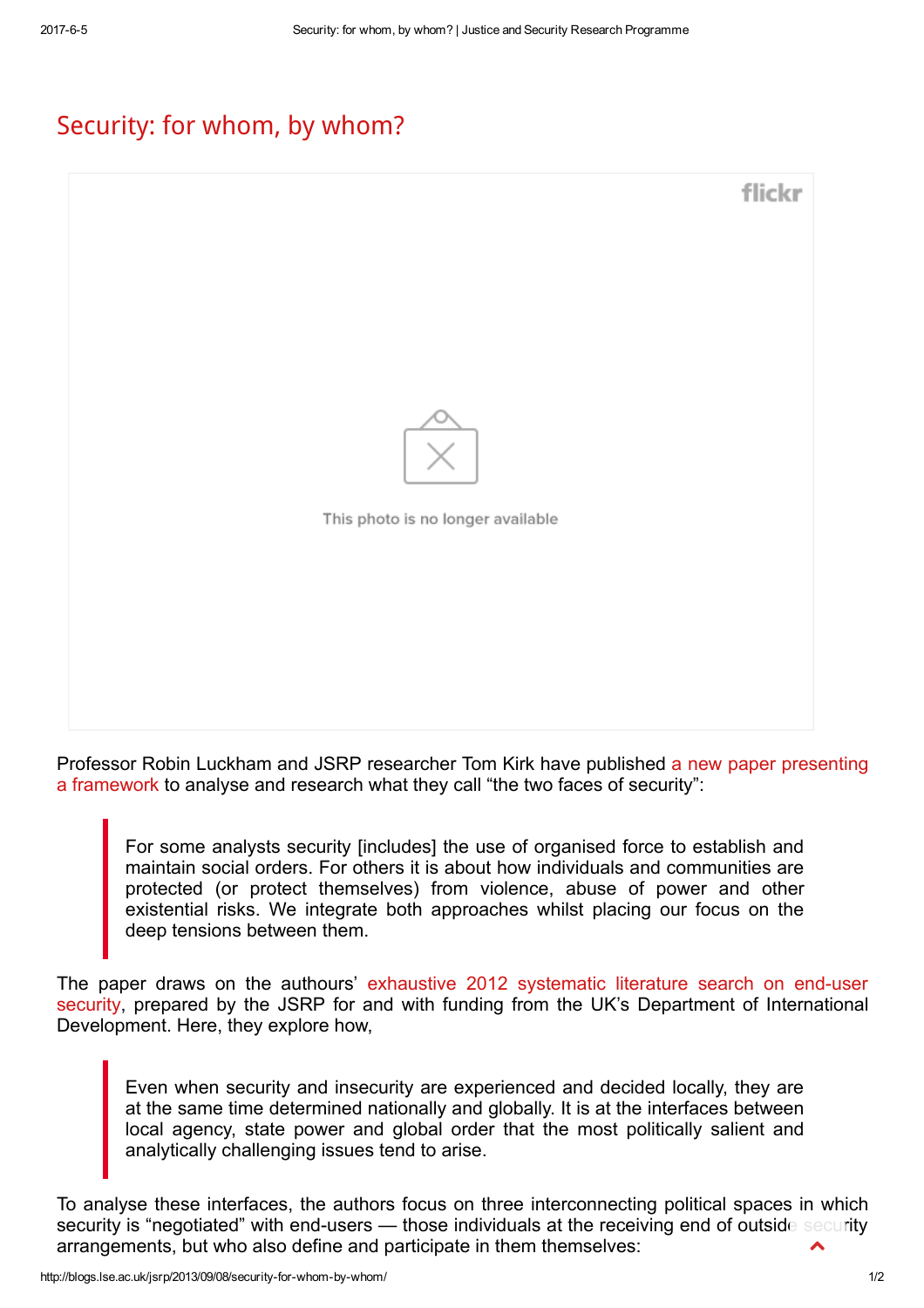## [Security:](http://blogs.lse.ac.uk/jsrp/2013/09/08/security-for-whom-by-whom/) for whom, by whom?



Professor Robin Luckham and JSRP [researcher](http://www.stabilityjournal.org/article/view/144) Tom Kirk have published a new paper presenting a framework to analyse and research what they call "the two faces of security":

For some analysts security [includes] the use of organised force to establish and maintain social orders. For others it is about how individuals and communities are protected (or protect themselves) from violence, abuse of power and other existential risks. We integrate both approaches whilst placing our focus on the deep tensions between them.

The paper draws on the authours' exhaustive 2012 systematic literature search on end-user security, prepared by the JSRP for and with funding from the UK's Department of [International](http://www.lse.ac.uk/internationalDevelopment/research/JSRP/JSRP%20Papers/JSRP%20Paper%202.aspx) Development. Here, they explore how,

Even when security and insecurity are experienced and decided locally, they are at the same time determined nationally and globally. It is at the interfaces between local agency, state power and global order that the most politically salient and analytically challenging issues tend to arise.

To analyse these interfaces, the authors focus on three interconnecting political spaces in which security is "negotiated" with end-users — those individuals at the receiving end of outside security arrangements, but who also define and participate in them themselves:  $\blacktriangle$